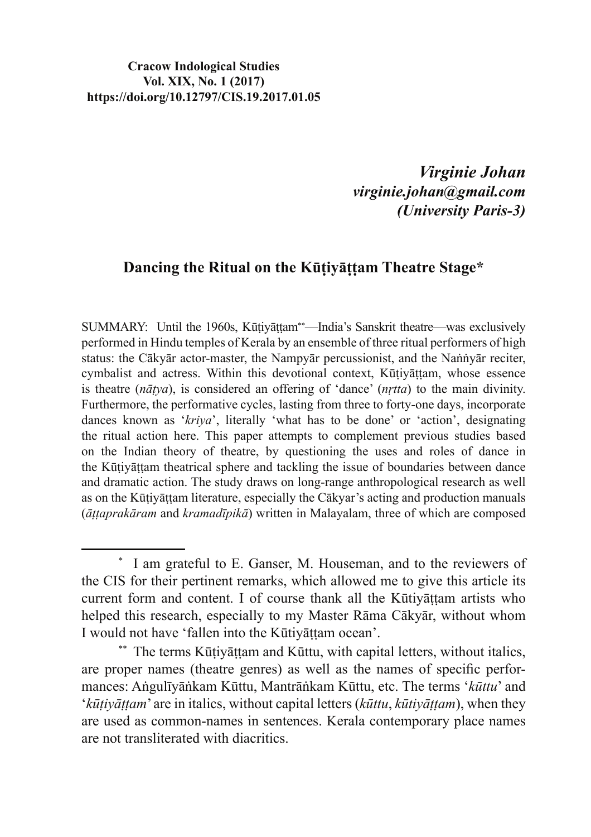#### **Cracow Indological Studies Vol. XIX, No. 1 (2017) https://doi.org/10.12797/CIS.19.2017.01.05**

*Virginie Johan virginie.johan@gmail.com (University Paris-3)*

### **Dancing the Ritual on the Kūtivāttam Theatre Stage\***

SUMMARY: Until the 1960s, Kūṭiyāṭṭam\*\*—India's Sanskrit theatre—was exclusively performed in Hindu temples of Kerala by an ensemble of three ritual performers of high status: the Cākvār actor-master, the Nampyār percussionist, and the Nannyār reciter, cymbalist and actress. Within this devotional context, Kūtivāttam, whose essence is theatre ( $n\bar{a}$ tya), is considered an offering of 'dance' ( $n$ *rtta*) to the main divinity. Furthermore, the performative cycles, lasting from three to forty-one days, incorporate dances known as '*kriva*', literally 'what has to be done' or 'action', designating the ritual action here. This paper attempts to complement previous studies based on the Indian theory of theatre, by questioning the uses and roles of dance in the Kūtivāttam theatrical sphere and tackling the issue of boundaries between dance and dramatic action. The study draws on long-range anthropological research as well as on the Kūtiyāttam literature, especially the Cākyar's acting and production manuals ( $\bar{a}$ ttaprakāram and *kramadīpikā*) written in Malayalam, three of which are composed

<sup>\*</sup> I am grateful to E. Ganser, M. Houseman, and to the reviewers of the CIS for their pertinent remarks, which allowed me to give this article its current form and content. I of course thank all the Kūtivāttam artists who helped this research, especially to my Master Rāma Cākvār, without whom I would not have 'fallen into the Kūtiyāttam ocean'.

<sup>\*\*</sup> The terms Kūțiyāțțam and Kūttu, with capital letters, without italics, are proper names (theatre genres) as well as the names of specific performances: Angulīyānkam Kūttu, Mantrānkam Kūttu, etc. The terms 'kūttu' and '*kūtiyāttam*' are in italics, without capital letters (*kūttu*, *kūtiyāttam*), when they are used as common-names in sentences. Kerala contemporary place names are not transliterated with diacritics.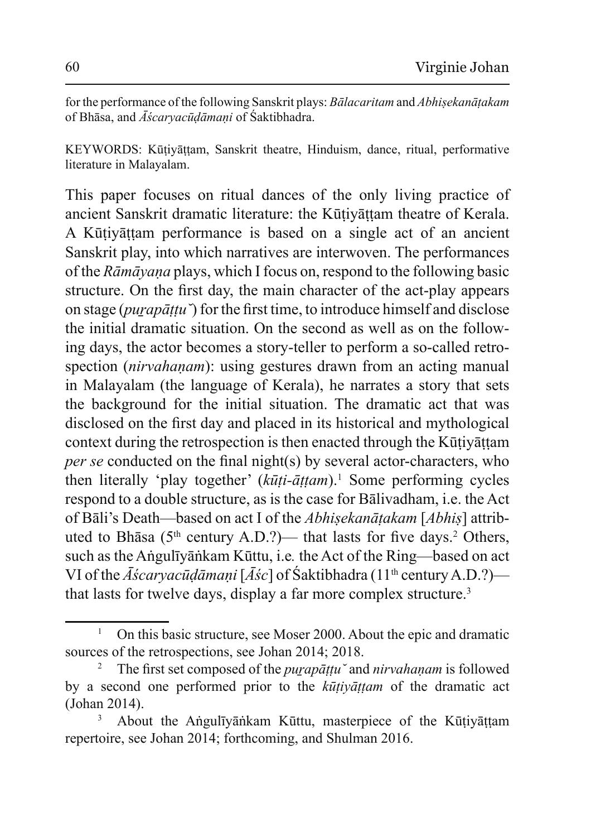IF for the performance of the following Sanskrit plays: *Bālacaritam* and *Abhisekanātakam* of Bhasa, and *Āscarvacūdāmani* of Saktibhadra.

KEYWORDS: Kūtiyāttam, Sanskrit theatre, Hinduism, dance, ritual, performative literature in Malayalam.

This paper focuses on ritual dances of the only living practice of ancient Sanskrit dramatic literature: the Kūțiyāțțam theatre of Kerala. A Kūtiyāttam performance is based on a single act of an ancient Sanskrit play, into which narratives are interwoven. The performances of the *Rāmāyaṇa* plays, which I focus on, respond to the following basic structure. On the first day, the main character of the act-play appears on stage (*purapāttu*) for the first time, to introduce himself and disclose the initial dramatic situation. On the second as well as on the following days, the actor becomes a story-teller to perform a so-called retrospection *(nirvahanam)*: using gestures drawn from an acting manual in Malayalam (the language of Kerala), he narrates a story that sets the background for the initial situation. The dramatic act that was disclosed on the first day and placed in its historical and mythological context during the retrospection is then enacted through the Kūtiyāttam *per se* conducted on the final night(s) by several actor-characters, who then literally 'play together' (kūti-āṭṭam).<sup>1</sup> Some performing cycles respond to a double structure, as is the case for Balivadham, i.e. the Act of Bāli's Death—based on act I of the *Abhisekanātakam* [*Abhis*] attributed to Bhāsa ( $5<sup>th</sup>$  century A.D.?)— that lasts for five days.<sup>2</sup> Others, such as the Anguliyankam Kūttu, i.e. the Act of the Ring—based on act VI of the  $\bar{A}$ *scaryacū* $\bar{d}$ *āmaṇi* [ $\bar{A}$ ś $c$ ] of Śaktibhadra (11<sup>th</sup> century A.D.?) that lasts for twelve days, display a far more complex structure.<sup>3</sup>

<sup>1</sup> On this basic structure, see Moser 2000. About the epic and dramatic sources of the retrospections, see Johan 2014; 2018.

<sup>2</sup> The first set composed of the *purapāttu* and *nirvahanam* is followed by a second one performed prior to the *kūtivāttam* of the dramatic act  $(John 2014).$ 

<sup>3</sup> About the Anguliyankam Kuttu, masterpiece of the Kutiyattam repertoire, see Johan 2014; forthcoming, and Shulman 2016.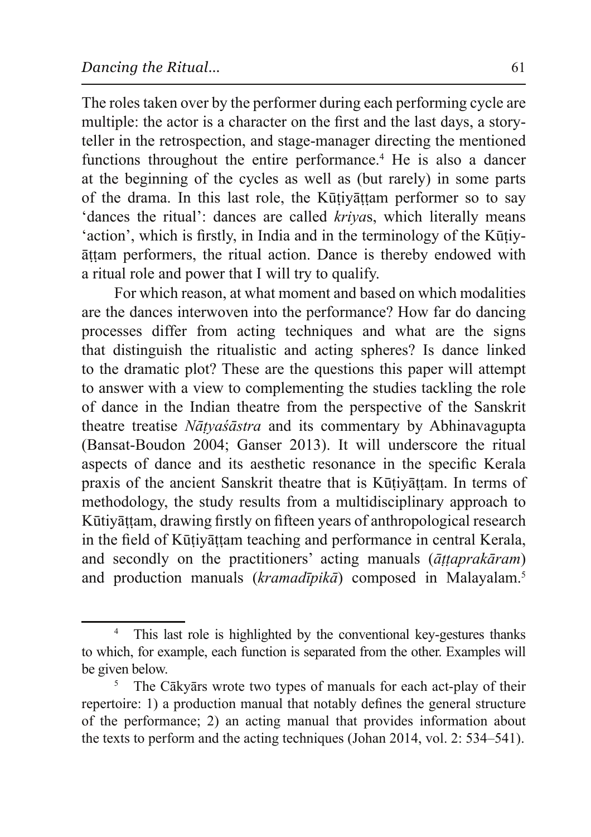The roles taken over by the performer during each performing cycle are multiple: the actor is a character on the first and the last days, a storyteller in the retrospection, and stage-manager directing the mentioned functions throughout the entire performance.<sup>4</sup> He is also a dancer at the beginning of the cycles as well as (but rarely) in some parts of the drama. In this last role, the Kūtivāttam performer so to say 'dances the ritual': dances are called *krivas*, which literally means 'action', which is firstly, in India and in the terminology of the Kūtiyattam performers, the ritual action. Dance is thereby endowed with a ritual role and power that I will try to qualify.

For which reason, at what moment and based on which modalities are the dances interwoven into the performance? How far do dancing processes differ from acting techniques and what are the signs that distinguish the ritualistic and acting spheres? Is dance linked to the dramatic plot? These are the questions this paper will attempt to answer with a view to complementing the studies tackling the role of dance in the Indian theatre from the perspective of the Sanskrit theatre treatise *Nātyaśāstra* and its commentary by Abhinavagupta (Bansat-Boudon 2004; Ganser 2013). It will underscore the ritual aspects of dance and its aesthetic resonance in the specific Kerala praxis of the ancient Sanskrit theatre that is Kūtiyāttam. In terms of methodology, the study results from a multidisciplinary approach to Kūtiyāṭṭam, drawing firstly on fifteen years of anthropological research in the field of Kūtivāttam teaching and performance in central Kerala. and secondly on the practitioners' acting manuals ( $\bar{a}t \bar{t}$ *tapraka<sup>ram*</sup>) and production manuals (kramadīpikā) composed in Malayalam.<sup>5</sup>

<sup>4</sup> This last role is highlighted by the conventional key-gestures thanks to which, for example, each function is separated from the other. Examples will be given below.

<sup>5</sup> The Cākyārs wrote two types of manuals for each act-play of their repertoire: 1) a production manual that notably defines the general structure of the performance; 2) an acting manual that provides information about the texts to perform and the acting techniques (Johan 2014, vol. 2:  $534-541$ ).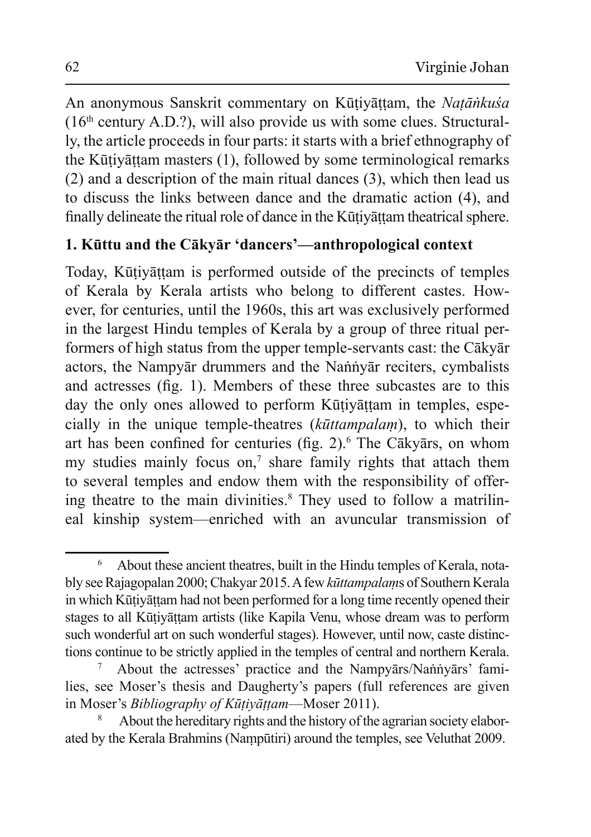An anonymous Sanskrit commentary on Kūtiyāttam, the Natānkuśa  $(16<sup>th</sup> century A.D.?)$ , will also provide us with some clues. Structurally, the article proceeds in four parts: it starts with a brief ethnography of the Kūtiyāttam masters (1), followed by some terminological remarks (2) and a description of the main ritual dances (3), which then lead us to discuss the links between dance and the dramatic action (4), and finally delineate the ritual role of dance in the Kūtiyāttam theatrical sphere.

## 1. Kūttu and the Cākyār 'dancers'—anthropological context

Today, Kūtiyāttam is performed outside of the precincts of temples of Kerala by Kerala artists who belong to different castes. However, for centuries, until the 1960s, this art was exclusively performed in the largest Hindu temples of Kerala by a group of three ritual performers of high status from the upper temple-servants cast: the Cākyār actors, the Nampyār drummers and the Nannyar reciters, cymbalists and actresses (fig. 1). Members of these three subcastes are to this day the only ones allowed to perform Kūtivāttam in temples, especially in the unique temple-theatres (kūttampalam), to which their art has been confined for centuries (fig. 2).<sup>6</sup> The Cākyārs, on whom my studies mainly focus on,<sup>7</sup> share family rights that attach them to several temples and endow them with the responsibility of offering theatre to the main divinities.<sup>8</sup> They used to follow a matrilineal kinship system—enriched with an avuncular transmission of

 $\overline{6}$ About these ancient theatres, built in the Hindu temples of Kerala, notably see Rajagopalan 2000; Chakyar 2015. A few kūttampalams of Southern Kerala in which Kūțiyāttam had not been performed for a long time recently opened their stages to all Kūtiyāttam artists (like Kapila Venu, whose dream was to perform such wonderful art on such wonderful stages). However, until now, caste distinctions continue to be strictly applied in the temples of central and northern Kerala.

About the actresses' practice and the Nampyārs/Nannyārs' families, see Moser's thesis and Daugherty's papers (full references are given in Moser's *Bibliography of Kūtivāttam*—Moser 2011).

About the hereditary rights and the history of the agrarian society elaborated by the Kerala Brahmins (Nampūtiri) around the temples, see Veluthat 2009.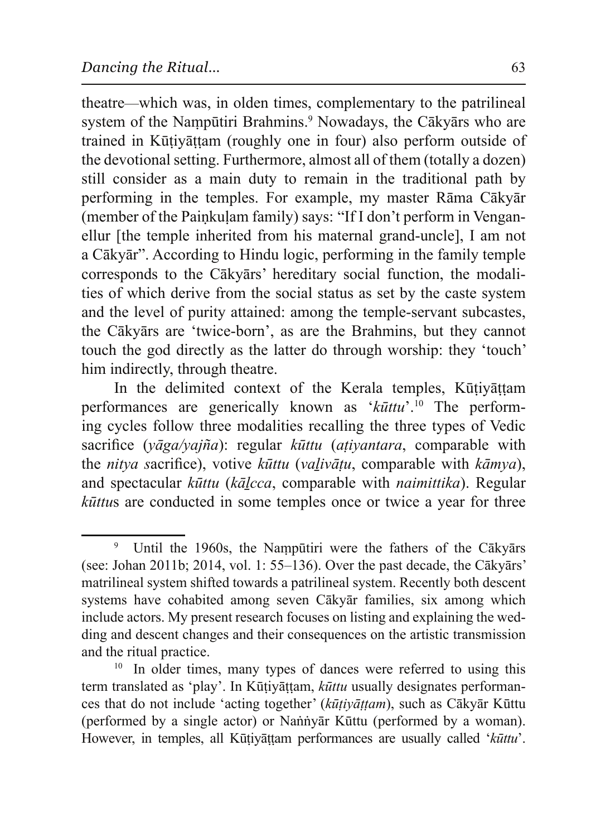theatre—which was, in olden times, complementary to the patrilineal system of the Nampūtiri Brahmins.<sup>9</sup> Nowadays, the Cākyārs who are trained in Kūtiyāttam (roughly one in four) also perform outside of the devotional setting. Furthermore, almost all of them (totally a dozen) still consider as a main duty to remain in the traditional path by performing in the temples. For example, my master Rāma Cākyār (member of the Painkulam family) says: "If I don't perform in Venganellur [the temple inherited from his maternal grand-uncle]. I am not a Cākvār". According to Hindu logic, performing in the family temple corresponds to the Cākyārs' hereditary social function, the modalities of which derive from the social status as set by the caste system and the level of purity attained: among the temple-servant subcastes, the Cākvārs are 'twice-born', as are the Brahmins, but they cannot touch the god directly as the latter do through worship: they 'touch' him indirectly, through theatre.

In the delimited context of the Kerala temples, Kūtiyāttam performances are generically known as ' $k\bar{u}ttu$ '.<sup>10</sup> The performing cycles follow three modalities recalling the three types of Vedic sacrifice ( $y\bar{q}g$ a/ $y\bar{q}g\bar{n}a$ ): regular  $k\bar{u}t$ tu ( $a\bar{t}iyant$ ara, comparable with the nitya sacrifice), votive kūttu (valivātu, comparable with kāmya), and spectacular kūttu (kālcca, comparable with *naimittika*). Regular *kūttus* are conducted in some temples once or twice a year for three

Until the 1960s, the Nampūtiri were the fathers of the Cākyārs (see: Johan 2011b; 2014, vol. 1: 55–136). Over the past decade, the C $\bar{a}$ kv $\bar{a}$ rs' matrilineal system shifted towards a patrilineal system. Recently both descent systems have cohabited among seven Cākyār families, six among which include actors. My present research focuses on listing and explaining the wedding and descent changes and their consequences on the artistic transmission and the ritual practice.

In older times, many types of dances were referred to using this term translated as 'play'. In Kūtiyāttam, kūttu usually designates performances that do not include 'acting together' (kūtiyāttam), such as Cākyār Kūttu (performed by a single actor) or Nannyar Kūttu (performed by a woman). However, in temples, all Kūțiyāțțam performances are usually called 'kūttu'.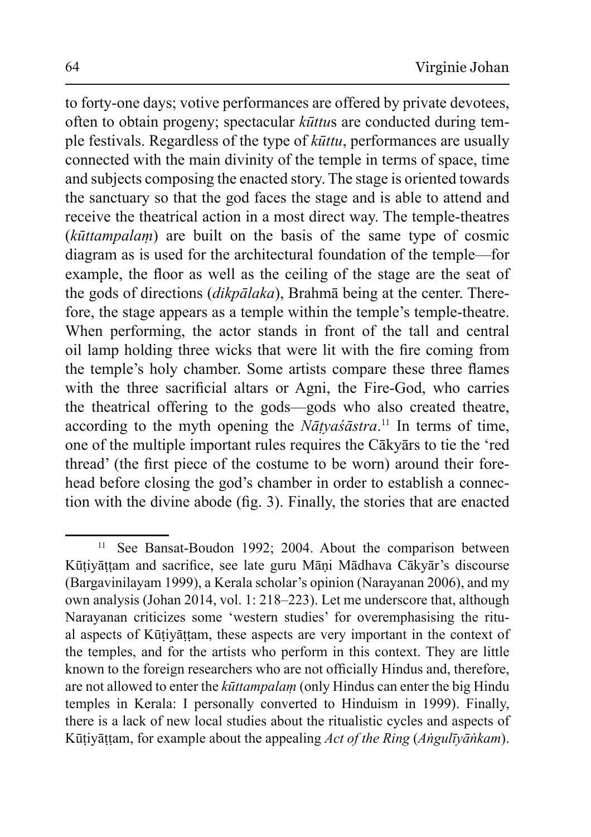to forty-one days; votive performances are offered by private devotees, often to obtain progeny; spectacular *kūttus* are conducted during temple festivals. Regardless of the type of  $k\bar{u}$ ttu, performances are usually connected with the main divinity of the temple in terms of space, time and subjects composing the enacted story. The stage is oriented towards the sanctuary so that the god faces the stage and is able to attend and receive the theatrical action in a most direct way. The temple-theatres (kūttampalam) are built on the basis of the same type of cosmic diagram as is used for the architectural foundation of the temple—for example, the floor as well as the ceiling of the stage are the seat of the gods of directions (dikpālaka), Brahmā being at the center. Therefore, the stage appears as a temple within the temple's temple-theatre. When performing, the actor stands in front of the tall and central oil lamp holding three wicks that were lit with the fire coming from the temple's holy chamber. Some artists compare these three flames with the three sacrificial altars or Agni, the Fire-God, who carries the theatrical offering to the gods—gods who also created theatre, according to the myth opening the  $N\bar{a}$ tyas $\bar{a}$ stra.<sup>11</sup> In terms of time, one of the multiple important rules requires the Cākyārs to tie the 'red thread' (the first piece of the costume to be worn) around their forehead before closing the god's chamber in order to establish a connection with the divine abode (fig. 3). Finally, the stories that are enacted

<sup>11</sup> See Bansat-Boudon 1992; 2004. About the comparison between Kūțiyāțțam and sacrifice, see late guru Māņi Mādhava Cākyār's discourse (Bargavinilayam 1999), a Kerala scholar's opinion (Narayanan 2006), and my own analysis (Johan 2014, vol. 1: 218–223). Let me underscore that, although Narayanan criticizes some 'western studies' for overemphasising the ritual aspects of Kūțiyāṭṭam, these aspects are very important in the context of the temples, and for the artists who perform in this context. They are little known to the foreign researchers who are not officially Hindus and, therefore, are not allowed to enter the *kūttampalam* (only Hindus can enter the big Hindu temples in Kerala: I personally converted to Hinduism in 1999). Finally, there is a lack of new local studies about the ritualistic cycles and aspects of Kūțiyāțțam, for example about the appealing Act of the Ring (Angulīyānkam).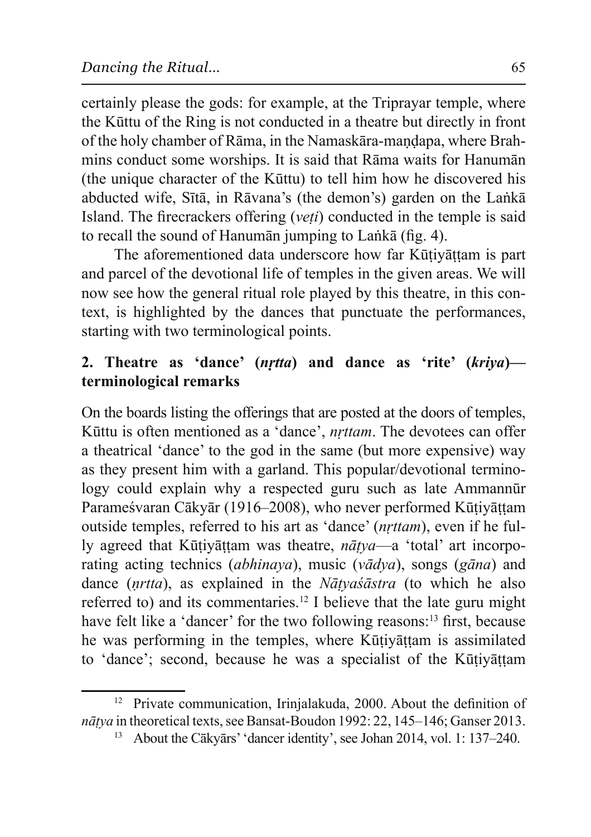certainly please the gods: for example, at the Triprayar temple, where the Kūttu of the Ring is not conducted in a theatre but directly in front of the holy chamber of Rāma, in the Namaskāra-mandapa, where Brahmins conduct some worships. It is said that Rama waits for Hanuman (the unique character of the Kūttu) to tell him how he discovered his abducted wife, Sītā, in Rāvana's (the demon's) garden on the Lankā Island. The firecrackers offering (*veti*) conducted in the temple is said to recall the sound of Hanuman jumping to Lanka (fig. 4).

The aforementioned data underscore how far Kūțiyāțțam is part and parcel of the devotional life of temples in the given areas. We will now see how the general ritual role played by this theatre, in this context, is highlighted by the dances that punctuate the performances, starting with two terminological points.

## 2. Theatre as 'dance' (nrtta) and dance as 'rite' (kriya) terminological remarks

On the boards listing the offerings that are posted at the doors of temples, Kūttu is often mentioned as a 'dance', nrttam. The devotees can offer a theatrical 'dance' to the god in the same (but more expensive) way as they present him with a garland. This popular/devotional terminology could explain why a respected guru such as late Ammannur Parameśvaran Cākyār (1916–2008), who never performed Kūtiyāttam outside temples, referred to his art as 'dance' (nrttam), even if he fully agreed that Kūtivāttam was theatre, *nātva*—a 'total' art incorporating acting technics *(abhinaya)*, music *(vadya)*, songs *(gana)* and dance  $(nrtta)$ , as explained in the *Natyasastra* (to which he also referred to) and its commentaries.<sup>12</sup> I believe that the late guru might have felt like a 'dancer' for the two following reasons:<sup>13</sup> first, because he was performing in the temples, where Kūtivāttam is assimilated to 'dance'; second, because he was a specialist of the Kūtiyāttam

<sup>&</sup>lt;sup>12</sup> Private communication, Irinjalakuda, 2000. About the definition of *nātya* in theoretical texts, see Bansat-Boudon 1992: 22, 145–146; Ganser 2013.

About the Cākyārs' 'dancer identity', see Johan 2014, vol. 1: 137–240.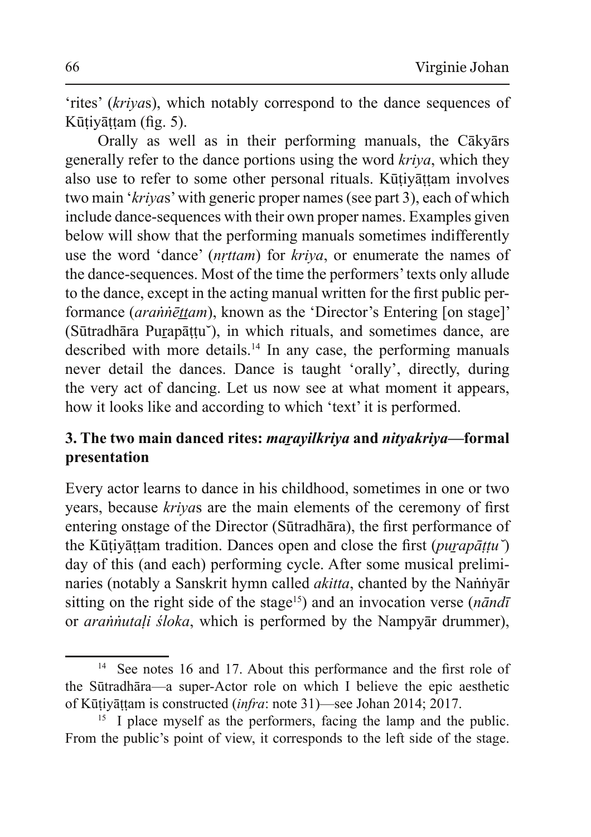'rites' (krivas), which notably correspond to the dance sequences of Kūțiyāțțam (fig. 5).

Orally as well as in their performing manuals, the Cākyārs generally refer to the dance portions using the word kriva, which they also use to refer to some other personal rituals. Kūtivāttam involves two main 'krivas' with generic proper names (see part 3), each of which include dance-sequences with their own proper names. Examples given below will show that the performing manuals sometimes indifferently use the word 'dance' (*nrttam*) for *kriva*, or enumerate the names of the dance-sequences. Most of the time the performers' texts only allude to the dance, except in the acting manual written for the first public performance *(arannettam)*, known as the 'Director's Entering [on stage]' (Sūtradhāra Purapāttu), in which rituals, and sometimes dance, are described with more details.<sup>14</sup> In any case, the performing manuals never detail the dances. Dance is taught 'orally', directly, during the very act of dancing. Let us now see at what moment it appears, how it looks like and according to which 'text' it is performed.

# 3. The two main danced rites: marayilkriya and nityakriya-formal presentation

Every actor learns to dance in his childhood, sometimes in one or two years, because *krivas* are the main elements of the ceremony of first entering onstage of the Director (Sūtradhāra), the first performance of the Kūtivāttam tradition. Dances open and close the first (purapāttu) day of this (and each) performing cycle. After some musical preliminaries (notably a Sanskrit hymn called *akitta*, chanted by the Nannyar sitting on the right side of the stage<sup>15</sup>) and an invocation verse (*nandi* or *arannutali sloka*, which is performed by the Nampyar drummer),

 $14$ See notes 16 and 17. About this performance and the first role of the Sūtradhāra—a super-Actor role on which I believe the epic aesthetic of Kūțiyāttam is constructed (infra: note 31)—see Johan 2014; 2017.

I place myself as the performers, facing the lamp and the public. 15 From the public's point of view, it corresponds to the left side of the stage.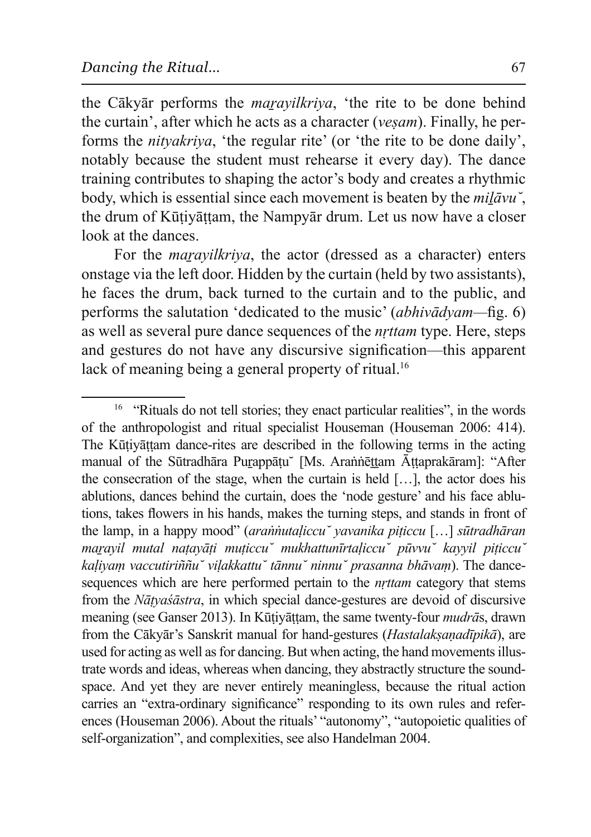the Cākyār performs the *marayilkriya*, 'the rite to be done behind the curtain', after which he acts as a character (*vesam*). Finally, he performs the *nityakriva*, 'the regular rite' (or 'the rite to be done daily', notably because the student must rehearse it every day). The dance training contributes to shaping the actor's body and creates a rhythmic body, which is essential since each movement is beaten by the *milāvu*, the drum of Kūtiyāttam, the Nampyār drum. Let us now have a closer look at the dances.

For the *maravilkriva*, the actor (dressed as a character) enters onstage via the left door. Hidden by the curtain (held by two assistants), he faces the drum, back turned to the curtain and to the public, and performs the salutation 'dedicated to the music' *(abhivadyam—fig. 6)* as well as several pure dance sequences of the *nrttam* type. Here, steps and gestures do not have any discursive signification—this apparent lack of meaning being a general property of ritual.<sup>16</sup>

<sup>&</sup>lt;sup>16</sup> "Rituals do not tell stories; they enact particular realities", in the words of the anthropologist and ritual specialist Houseman (Houseman 2006: 414). The Kūtiyāttam dance-rites are described in the following terms in the acting manual of the Sūtradhāra Purappātu<sup>"</sup> [Ms. Arannēttam Āttaprakāram]: "After the consecration of the stage, when the curtain is held  $[\dots]$ , the actor does his ablutions, dances behind the curtain, does the 'node gesture' and his face ablutions, takes flowers in his hands, makes the turning steps, and stands in front of the lamp, in a happy mood" (*arannutaliccu* vavanika piticcu [...] sutradharan *PD��Dratavil mutal natavāti muticcu mukhattunīrtaliccu pūvvu kavvil piticcu kalivam vaccutiriññu* vilakkattu tānnu ninnu prasanna bhāvam). The dancesequences which are here performed pertain to the *nrttam* category that stems from the *Nātyasastra*, in which special dance-gestures are devoid of discursive meaning (see Ganser 2013). In Kūtivāttam, the same twenty-four *mudrās*, drawn from the Cākyār's Sanskrit manual for hand-gestures (*Hastalakṣaṇadīpikā*), are used for acting as well as for dancing. But when acting, the hand movements illustrate words and ideas, whereas when dancing, they abstractly structure the soundspace. And yet they are never entirely meaningless, because the ritual action carries an "extra-ordinary significance" responding to its own rules and references (Houseman 2006). About the rituals' "autonomy", "autopoietic qualities of self-organization", and complexities, see also Handelman 2004.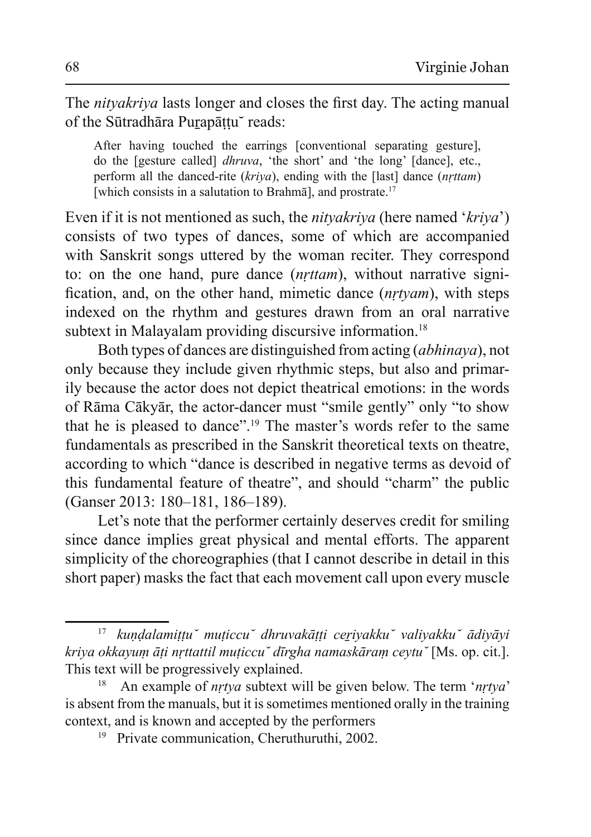The *nityakriya* lasts longer and closes the first day. The acting manual of the Sūtradhāra Purapāțțu~ reads:

After having touched the earrings [conventional separating gesture], do the [gesture called] *dhruva*, 'the short' and 'the long' [dance], etc., perform all the danced-rite (kriya), ending with the [last] dance (*nrttam*) [which consists in a salutation to Brahma], and prostrate.<sup>17</sup>

Even if it is not mentioned as such, the *nityakriya* (here named '*kriya*') consists of two types of dances, some of which are accompanied with Sanskrit songs uttered by the woman reciter. They correspond to: on the one hand, pure dance (*nrttam*), without narrative signification, and, on the other hand, mimetic dance (*nrtyam*), with steps indexed on the rhythm and gestures drawn from an oral narrative subtext in Malayalam providing discursive information.<sup>18</sup>

Both types of dances are distinguished from acting *(abhinaya)*, not only because they include given rhythmic steps, but also and primarily because the actor does not depict theatrical emotions: in the words of Rāma Cākvār, the actor-dancer must "smile gently" only "to show that he is pleased to dance".<sup>19</sup> The master's words refer to the same fundamentals as prescribed in the Sanskrit theoretical texts on theatre, according to which "dance is described in negative terms as devoid of this fundamental feature of theatre", and should "charm" the public  $(Ganser 2013: 180-181, 186-189).$ 

Let's note that the performer certainly deserves credit for smiling since dance implies great physical and mental efforts. The apparent simplicity of the choreographies (that I cannot describe in detail in this short paper) masks the fact that each movement call upon every muscle

<sup>&</sup>lt;sup>17</sup> kundalamittu muticcu dhruvakātti ceriyakku valiyakku ādiyāyi *kriya okkayum āti nrttattil muțiccu dīrgha namaskāram ceytu* [Ms. op. cit.]. This text will be progressively explained.

An example of *nrtya* subtext will be given below. The term '*nrtya*' is absent from the manuals, but it is sometimes mentioned orally in the training context, and is known and accepted by the performers

Private communication, Cheruthuruthi, 2002.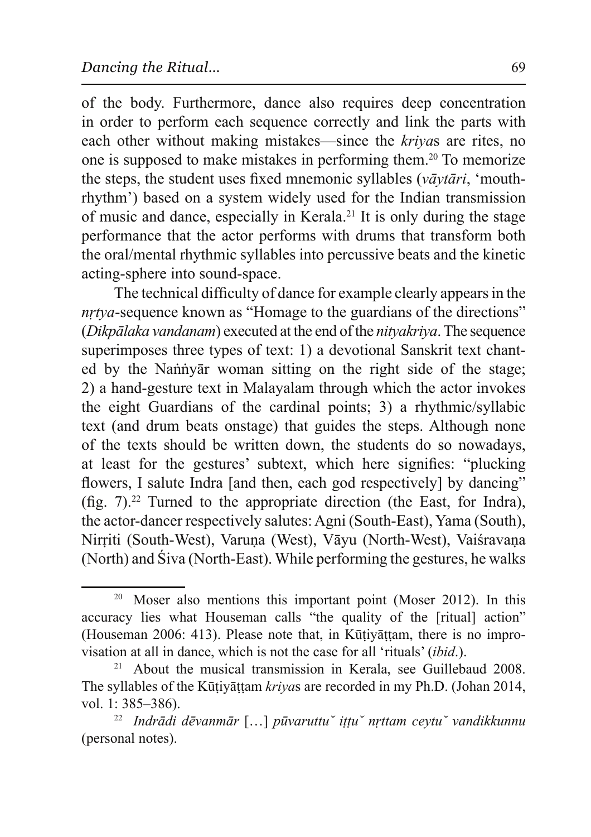of the body. Furthermore, dance also requires deep concentration in order to perform each sequence correctly and link the parts with each other without making mistakes—since the *krivas* are rites, no one is supposed to make mistakes in performing them.<sup>20</sup> To memorize the steps, the student uses fixed mnemonic syllables (vāvtāri, 'mouthrhythm') based on a system widely used for the Indian transmission of music and dance, especially in Kerala.<sup>21</sup> It is only during the stage performance that the actor performs with drums that transform both the oral/mental rhythmic syllables into percussive beats and the kinetic acting-sphere into sound-space.

The technical difficulty of dance for example clearly appears in the *nrtya*-sequence known as "Homage to the guardians of the directions" (*Dikpālaka vandanam*) executed at the end of the *nitvakriva*. The sequence superimposes three types of text: 1) a devotional Sanskrit text chanted by the Nannyar woman sitting on the right side of the stage; 2) a hand-gesture text in Malayalam through which the actor invokes the eight Guardians of the cardinal points; 3) a rhythmic/syllabic text (and drum beats onstage) that guides the steps. Although none of the texts should be written down, the students do so nowadays, at least for the gestures' subtext, which here signifies: "plucking flowers, I salute Indra [and then, each god respectively] by dancing" (fig.  $7$ ).<sup>22</sup> Turned to the appropriate direction (the East, for Indra), the actor-dancer respectively salutes: Agni (South-East), Yama (South), Nirriti (South-West), Varuņa (West), Vāyu (North-West), Vaiśravaņa (North) and Siva (North-East). While performing the gestures, he walks

<sup>&</sup>lt;sup>20</sup> Moser also mentions this important point (Moser 2012). In this accuracy lies what Houseman calls "the quality of the [ritual] action" (Houseman 2006: 413). Please note that, in Kūṭiyāṭṭam, there is no improvisation at all in dance, which is not the case for all 'rituals' *(ibid.)*.

About the musical transmission in Kerala, see Guillebaud 2008. The syllables of the Kūtiyāttam kriyas are recorded in my Ph.D. (Johan 2014, vol. 1: 385–386).

<sup>&</sup>lt;sup>22</sup> Indrādi dēvanmār [...] pūvaruttu iṭṭu nṛttam ceytu vandikkunnu (personal notes).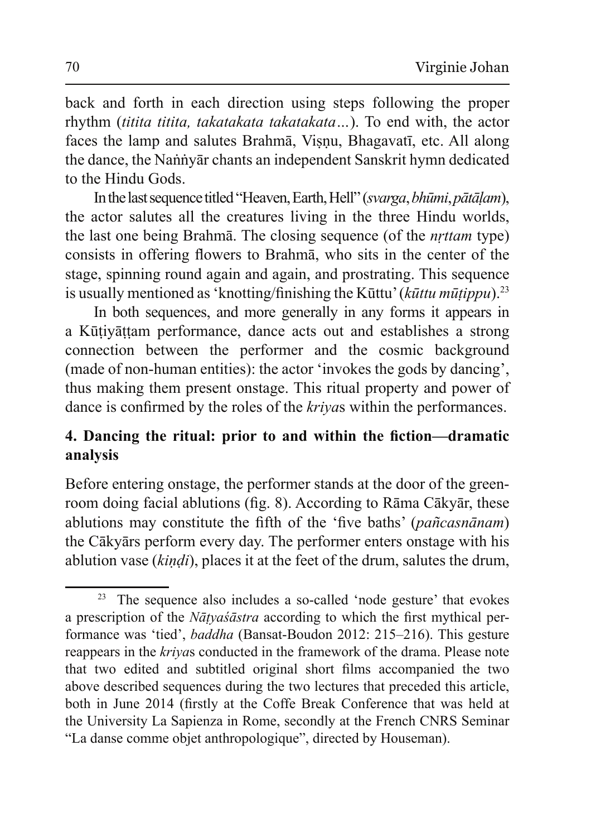back and forth in each direction using steps following the proper rhythm (titita titita, takatakata takatakata...). To end with, the actor faces the lamp and salutes Brahma, Visnu, Bhagavatī, etc. All along the dance, the Nannyar chants an independent Sanskrit hymn dedicated to the Hindu Gods.

In the last sequence titled "Heaven, Earth, Hell" (svarga, bhūmi, pātālam), the actor salutes all the creatures living in the three Hindu worlds, the last one being Brahma. The closing sequence (of the *nrttam* type) consists in offering flowers to Brahma, who sits in the center of the stage, spinning round again and again, and prostrating. This sequence is usually mentioned as 'knotting/finishing the Kūttu' ( $k\bar{u}$ ttu mūțippu).<sup>23</sup>

In both sequences, and more generally in any forms it appears in a Kūtivāttam performance, dance acts out and establishes a strong connection between the performer and the cosmic background (made of non-human entities): the actor 'invokes the gods by dancing', thus making them present onstage. This ritual property and power of dance is confirmed by the roles of the *krivas* within the performances.

# 4. Dancing the ritual: prior to and within the fiction—dramatic analysis

Before entering onstage, the performer stands at the door of the greenroom doing facial ablutions (fig. 8). According to Rāma Cākyār, these ablutions may constitute the fifth of the 'five baths' (pañcasnānam) the Cākyārs perform every day. The performer enters on tage with his ablution vase *(kindi)*, places it at the feet of the drum, salutes the drum,

<sup>&</sup>lt;sup>23</sup> The sequence also includes a so-called 'node gesture' that evokes a prescription of the *Nātyaśāstra* according to which the first mythical performance was 'tied', *baddha* (Bansat-Boudon 2012: 215–216). This gesture reappears in the *krivas* conducted in the framework of the drama. Please note that two edited and subtitled original short films accompanied the two above described sequences during the two lectures that preceded this article, both in June 2014 (firstly at the Coffe Break Conference that was held at the University La Sapienza in Rome, secondly at the French CNRS Seminar "La danse comme objet anthropologique", directed by Houseman).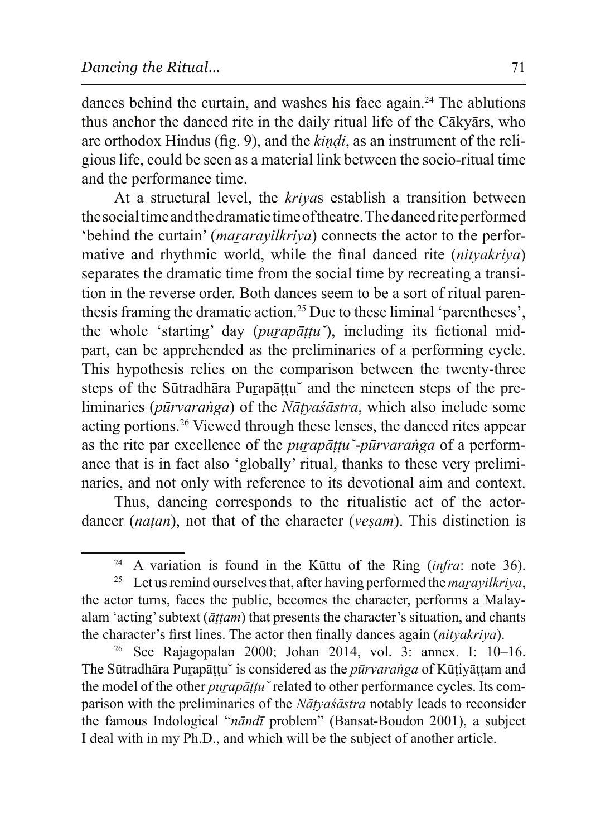dances behind the curtain, and washes his face again.<sup>24</sup> The ablutions thus anchor the danced rite in the daily ritual life of the Cākyārs, who are orthodox Hindus (fig. 9), and the *kindi*, as an instrument of the religious life, could be seen as a material link between the socio-ritual time and the performance time.

At a structural level, the krivas establish a transition between the social time and the dramatic time of the atre. The danced rite performed 'behind the curtain' (*mararayilkriya*) connects the actor to the performative and rhythmic world, while the final danced rite *(nitvakriva)* separates the dramatic time from the social time by recreating a transition in the reverse order. Both dances seem to be a sort of ritual parenthesis framing the dramatic action.<sup>25</sup> Due to these liminal 'parentheses', the whole 'starting' day (*purapāttu*), including its fictional midpart, can be apprehended as the preliminaries of a performing cycle. This hypothesis relies on the comparison between the twenty-three steps of the Sūtradhāra Purapāttu and the nineteen steps of the preliminaries (pūrvaranga) of the Nātyas'astra, which also include some acting portions.<sup>26</sup> Viewed through these lenses, the danced rites appear as the rite par excellence of the *purapattu* - *pūrvaranga* of a performance that is in fact also 'globally' ritual, thanks to these very preliminaries, and not only with reference to its devotional aim and context.

Thus, dancing corresponds to the ritualistic act of the actordancer *(natan)*, not that of the character *(vesam)*. This distinction is

<sup>&</sup>lt;sup>24</sup> A variation is found in the Kūttu of the Ring (*infra*: note 36).

<sup>&</sup>lt;sup>25</sup> Let us remind ourselves that, after having performed the *maravilkriva*, the actor turns, faces the public, becomes the character, performs a Malayalam 'acting' subtext ( $\bar{a}$ ttam) that presents the character's situation, and chants the character's first lines. The actor then finally dances again (nityakriya).

 $26\,$ See Rajagopalan 2000; Johan 2014, vol. 3: annex. I: 10–16. The Sūtradhāra Purapāttu is considered as the *pūrvaranga* of Kūtivāttam and the model of the other *purapāttu* related to other performance cycles. Its comparison with the preliminaries of the *Nātvašāstra* notably leads to reconsider the famous Indological "*nāndī* problem" (Bansat-Boudon 2001), a subject I deal with in my Ph.D., and which will be the subject of another article.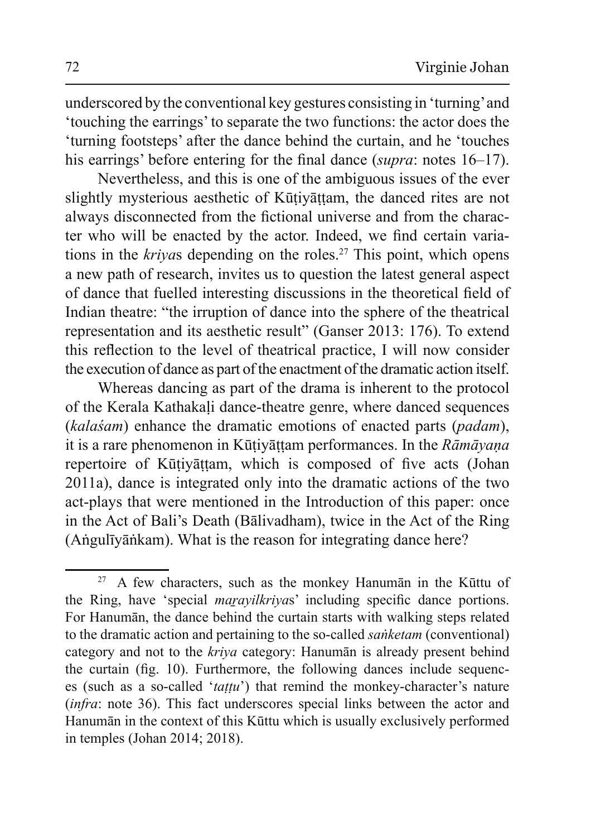underscored by the conventional key gestures consisting in 'turning' and 'touching the earrings' to separate the two functions: the actor does the 'turning footsteps' after the dance behind the curtain, and he 'touches' his earrings' before entering for the final dance (supra: notes 16–17).

Nevertheless, and this is one of the ambiguous issues of the ever slightly mysterious aesthetic of Kūțiyāțțam, the danced rites are not always disconnected from the fictional universe and from the character who will be enacted by the actor. Indeed, we find certain variations in the kriyas depending on the roles.<sup>27</sup> This point, which opens a new path of research, invites us to question the latest general aspect of dance that fuelled interesting discussions in the theoretical field of Indian theatre: "the irruption of dance into the sphere of the theatrical representation and its aesthetic result" (Ganser 2013: 176). To extend this reflection to the level of theatrical practice. I will now consider the execution of dance as part of the enactment of the dramatic action itself.

Whereas dancing as part of the drama is inherent to the protocol of the Kerala Kathakali dance-theatre genre, where danced sequences (kalaśam) enhance the dramatic emotions of enacted parts (padam), it is a rare phenomenon in Kūțiyāțțam performances. In the Rāmāyana repertoire of Kūtiyāttam, which is composed of five acts (Johan 2011a), dance is integrated only into the dramatic actions of the two act-plays that were mentioned in the Introduction of this paper: once in the Act of Bali's Death (Bālivadham), twice in the Act of the Ring (Anguliyankam). What is the reason for integrating dance here?

A few characters, such as the monkey Hanuman in the Kūttu of the Ring, have 'special *marayilkriyas*' including specific dance portions. For Hanuman, the dance behind the curtain starts with walking steps related to the dramatic action and pertaining to the so-called *sanketam* (conventional) category and not to the kriya category: Hanuman is already present behind the curtain (fig. 10). Furthermore, the following dances include sequences (such as a so-called 'tattu') that remind the monkey-character's nature (infra: note 36). This fact underscores special links between the actor and Hanumān in the context of this Kūttu which is usually exclusively performed in temples (Johan 2014; 2018).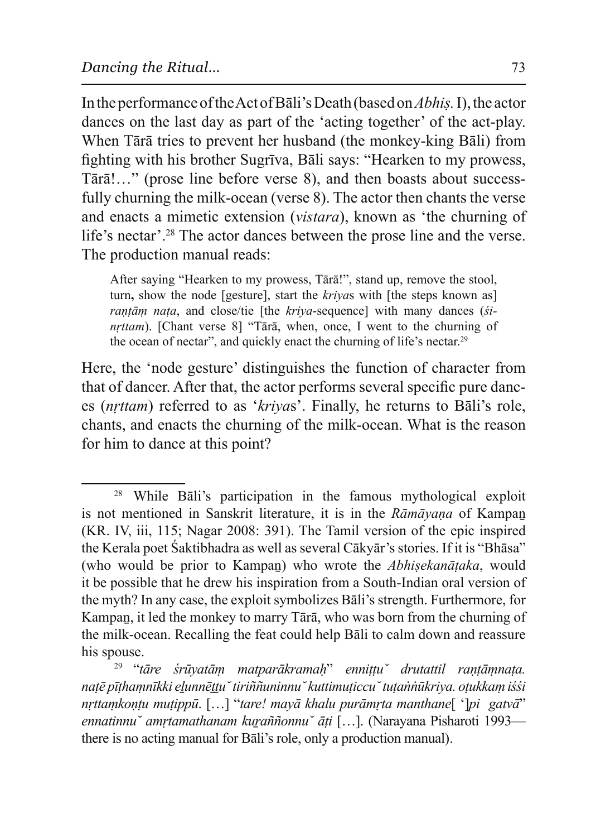In the performance of the Act of Bali's Death (based on *Abhis*. I), the actor dances on the last day as part of the 'acting together' of the act-play. When Tārā tries to prevent her husband (the monkey-king Bāli) from fighting with his brother Sugrīva, Bāli says: "Hearken to my prowess, Tārā!..." (prose line before verse 8), and then boasts about successfully churning the milk-ocean (verse 8). The actor then chants the verse and enacts a mimetic extension *(vistara)*, known as 'the churning of life's nectar'.<sup>28</sup> The actor dances between the prose line and the verse. The production manual reads:

After saying "Hearken to my prowess, Tārā!", stand up, remove the stool, turn, show the node [gesture], start the *krivas* with [the steps known as] *rantām nața*, and close/tie [the kriva-sequence] with many dances (si $n$ *rttam*). [Chant verse 8] "Tārā, when, once, I went to the churning of the ocean of nectar", and quickly enact the churning of life's nectar.<sup>29</sup>

Here, the 'node gesture' distinguishes the function of character from that of dancer. After that, the actor performs several specific pure dances (*nrttam*) referred to as '*krivas*'. Finally, he returns to Bali's role, chants, and enacts the churning of the milk-ocean. What is the reason for him to dance at this point?

 $28$  While Bali's participation in the famous mythological exploit is not mentioned in Sanskrit literature, it is in the Rāmāyana of Kampan  $(KR, IV, iii, 115; Nagar 2008: 391)$ . The Tamil version of the epic inspired the Kerala poet Śaktibhadra as well as several Cākyār's stories. If it is "Bhāsa" (who would be prior to Kampan) who wrote the *Abhisekanātaka*, would it be possible that he drew his inspiration from a South-Indian oral version of the myth? In any case, the exploit symbolizes Bali's strength. Furthermore, for Kampan, it led the monkey to marry Tārā, who was born from the churning of the milk-ocean. Recalling the feat could help Bali to calm down and reassure his spouse.

<sup>&</sup>lt;sup>29</sup> "tāre śrūyatām matparākramaḥ" enniṭṭu drutattil raṇṭāṃnaṭa. natē pīthamnīkki elunnēttu *tiriññuninnu kuttimuticcu tutannūkriya*. otukkam iśśi *nrttamkontu mutippū.* [...] "tare! mayā khalu purāmrta manthane[']pi gatvā" *ennatinnu amrtamathanam kuraññonnu āti* [...]. (Narayana Pisharoti 1993 there is no acting manual for Bali's role, only a production manual).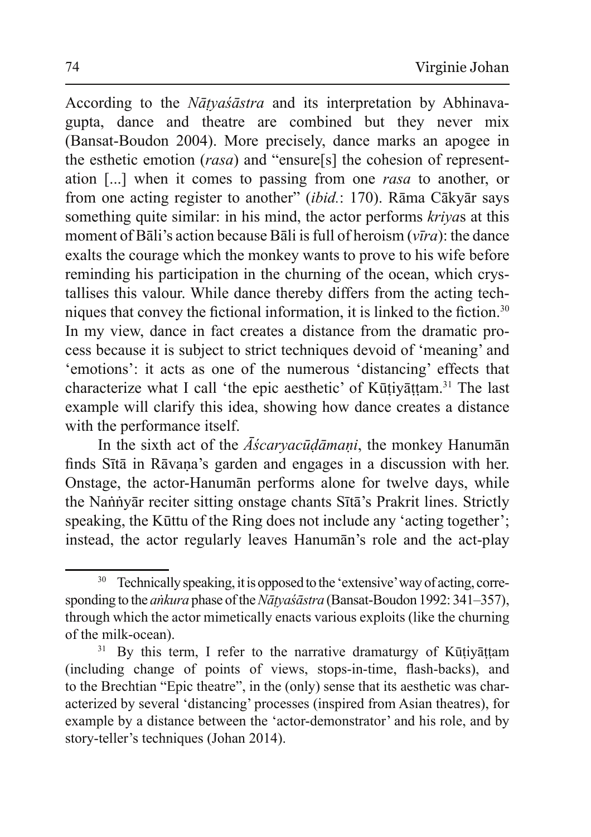According to the *Nātyasastra* and its interpretation by Abhinavagupta, dance and theatre are combined but they never mix (Bansat-Boudon 2004). More precisely, dance marks an apogee in the esthetic emotion (rasa) and "ensure[s] the cohesion of representation [...] when it comes to passing from one rasa to another, or from one acting register to another" *(ibid.: 170)*. Rāma Cākyār says something quite similar: in his mind, the actor performs kriyas at this moment of Bali's action because Bali is full of heroism  $(v\bar{v}ra)$ : the dance exalts the courage which the monkey wants to prove to his wife before reminding his participation in the churning of the ocean, which crystallises this valour. While dance thereby differs from the acting techniques that convey the fictional information, it is linked to the fiction.<sup>30</sup> In my view, dance in fact creates a distance from the dramatic process because it is subject to strict techniques devoid of 'meaning' and 'emotions': it acts as one of the numerous 'distancing' effects that characterize what I call 'the epic aesthetic' of Kūtiyāttam.<sup>31</sup> The last example will clarify this idea, showing how dance creates a distance with the performance itself.

In the sixth act of the  $\overline{A}$ *scarvacudamani*, the monkey Hanuman finds Sītā in Rāvana's garden and engages in a discussion with her. Onstage, the actor-Hanuman performs alone for twelve days, while the Nannyār reciter sitting onstage chants Sītā's Prakrit lines. Strictly speaking, the Kūttu of the Ring does not include any 'acting together'; instead, the actor regularly leaves Hanuman's role and the act-play

Technically speaking, it is opposed to the 'extensive' way of acting, corresponding to the *ankura* phase of the *Natya'sastra* (Bansat-Boudon 1992: 341–357), through which the actor mimetically enacts various exploits (like the churning of the milk-ocean).

 $31\,$ By this term, I refer to the narrative dramaturgy of Kūțiyāțțam (including change of points of views, stops-in-time, flash-backs), and to the Brechtian "Epic theatre", in the (only) sense that its aesthetic was characterized by several 'distancing' processes (inspired from Asian theatres), for example by a distance between the 'actor-demonstrator' and his role, and by story-teller's techniques (Johan 2014).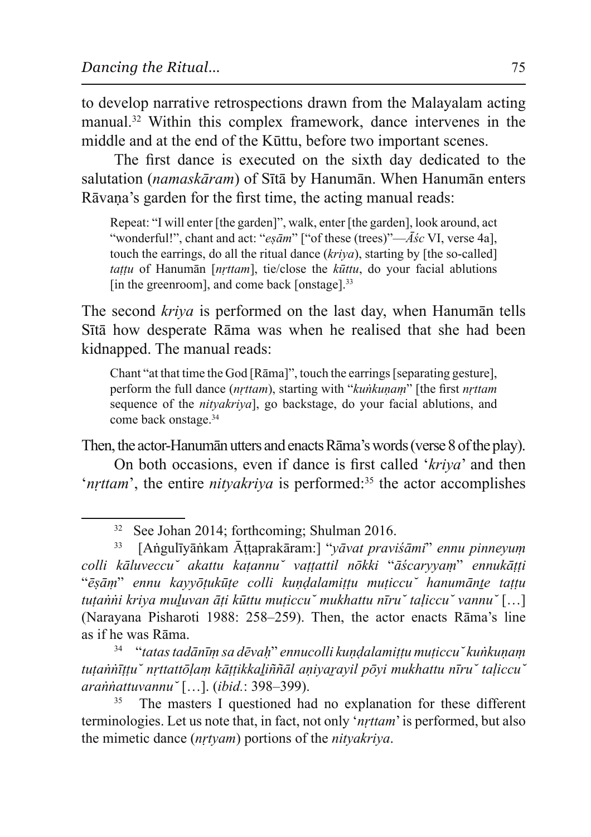to develop narrative retrospections drawn from the Malayalam acting manual.<sup>32</sup> Within this complex framework, dance intervenes in the middle and at the end of the Kūttu, before two important scenes.

The first dance is executed on the sixth day dedicated to the salutation (namaskāram) of Sītā by Hanumān. When Hanumān enters Rāvana's garden for the first time, the acting manual reads:

Repeat: "I will enter [the garden]", walk, enter [the garden], look around, act "wonderful!", chant and act: "esām" ["of these (trees)"—Asc VI, verse 4a], touch the earrings, do all the ritual dance (kriya), starting by [the so-called] *tattu* of Hanuman [*nrttam*], tie/close the *kūttu*, do your facial ablutions [in the greenroom], and come back [onstage].<sup>33</sup>

The second *kriva* is performed on the last day, when Hanuman tells Sītā how desperate Rāma was when he realised that she had been kidnapped. The manual reads:

Chant "at that time the God [Rama]", touch the earrings [separating gesture], perform the full dance (*nrttam*), starting with "*kunkunam*" [the first *nrttam* sequence of the *nityakriya*, go backstage, do your facial ablutions, and come back onstage.<sup>34</sup>

Then, the actor-Hanuman utters and enacts Rama's words (verse 8 of the play). On both occasions, even if dance is first called 'kriva' and then '*nrttam*', the entire *nitvakriva* is performed:<sup>35</sup> the actor accomplishes

34 "tatas tadānīm sa dēvah" ennucolli kundalamittu muticcu \kunkunam tutannīttu nrttattolam kāttikkalinnāl anivaravil povi mukhattu nīru taliccu arannattuvannu [...]. (ibid.: 398-399).

The masters I questioned had no explanation for these different terminologies. Let us note that, in fact, not only '*nrttam*' is performed, but also the mimetic dance *(nrtyam)* portions of the *nityakriva*.

<sup>&</sup>lt;sup>32</sup> See Johan 2014; forthcoming; Shulman 2016.

<sup>[</sup>Angulīyānkam Āṭṭaprakāram:] "yāvat praviśāmi" ennu pinneyum 33 colli kāluveccu akattu katannu vattattil nōkki "āścaryyam" ennukātti "ēsām" ennu kavvõtukūte colli kundalamittu muticcu hanumānte tattu tutanni kriya muluvan āti kūttu muticcu mukhattu nīru taliccu vannu [...] (Naravana Pisharoti 1988: 258–259). Then, the actor enacts Rāma's line as if he was Rāma.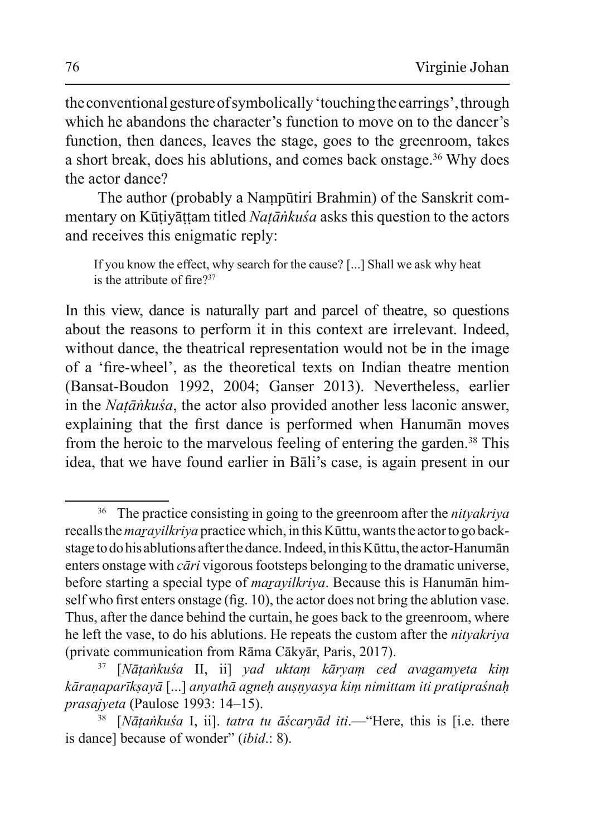the conventional gesture of symbolically 'touching the earrings', through which he abandons the character's function to move on to the dancer's function, then dances, leaves the stage, goes to the greenroom, takes a short break, does his ablutions, and comes back onstage.<sup>36</sup> Why does the actor dance?

The author (probably a Nampūtiri Brahmin) of the Sanskrit commentary on Kūtivāttam titled *Natānkuśa* asks this question to the actors and receives this enigmatic reply:

If you know the effect, why search for the cause? [...] Shall we ask why heat is the attribute of fire? $37$ 

In this view, dance is naturally part and parcel of the atre, so questions about the reasons to perform it in this context are irrelevant. Indeed, without dance, the theatrical representation would not be in the image of a 'fire-wheel', as the theoretical texts on Indian theatre mention (Bansat-Boudon 1992, 2004; Ganser 2013). Nevertheless, earlier in the *Natānkuśa*, the actor also provided another less laconic answer, explaining that the first dance is performed when Hanuman moves from the heroic to the marvelous feeling of entering the garden.<sup>38</sup> This idea, that we have found earlier in Bali's case, is again present in our

<sup>&</sup>lt;sup>36</sup> The practice consisting in going to the greenroom after the *nityakriya* recalls the *maravilkriva* practice which, in this Kūttu, wants the actor to go backstage to do his ablutions after the dance. Indeed, in this Kūttu, the actor-Hanumān enters on tage with *cari* vigorous footsteps belonging to the dramatic universe, before starting a special type of *maravilkriva*. Because this is Hanuman himself who first enters on tage (fig. 10), the actor does not bring the ablution vase. Thus, after the dance behind the curtain, he goes back to the greenroom, where he left the vase, to do his ablutions. He repeats the custom after the *nityakriya* (private communication from Rāma Cākyār, Paris, 2017).

<sup>[</sup>Nātankuśa II, ii] yad uktam kāryam ced avagamyeta kim kāranaparīksayā [...] anyathā agneh ausnyasya kim nimittam iti pratipraśnah *prasajveta* (Paulose 1993: 14–15).

<sup>[</sup>Nātankuśa I, ii]. tatra tu āścarvād iti.— "Here, this is [i.e. there is dance] because of wonder" *(ibid.*: 8).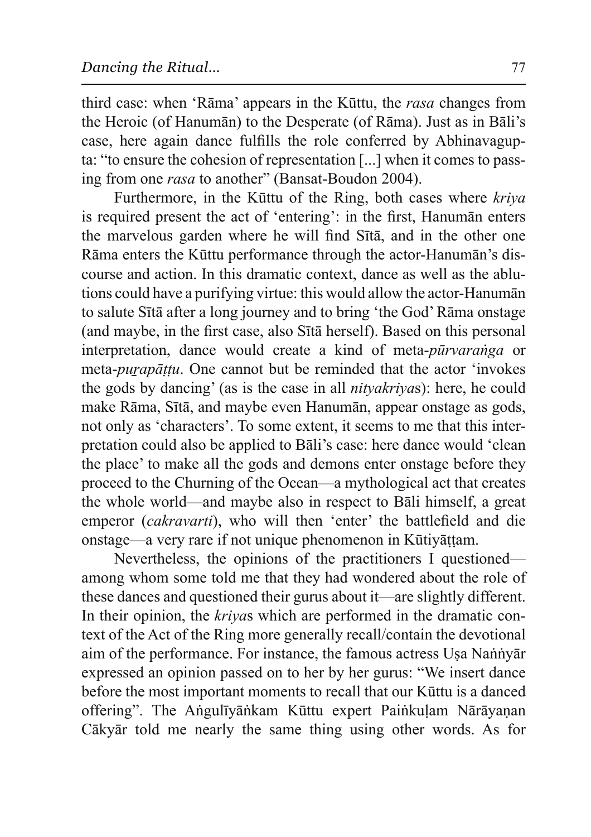third case: when 'Rama' appears in the Kuttu, the rasa changes from the Heroic (of Hanuman) to the Desperate (of Rama). Just as in Bali's case, here again dance fulfills the role conferred by Abhinavagupta: "to ensure the cohesion of representation [...] when it comes to passing from one *rasa* to another" (Bansat-Boudon 2004).

Furthermore, in the Kūttu of the Ring, both cases where kriva is required present the act of 'entering': in the first, Hanuman enters the marvelous garden where he will find Sta, and in the other one Rāma enters the Kūttu performance through the actor-Hanumān's discourse and action. In this dramatic context, dance as well as the ablutions could have a purifying virtue: this would allow the actor-Hanuman to salute Sita after a long journey and to bring 'the God' Rama on stage (and maybe, in the first case, also Sītā herself). Based on this personal interpretation, dance would create a kind of meta-pūrvaranga or meta-*purapāṭṭu*. One cannot but be reminded that the actor 'invokes the gods by dancing' (as is the case in all *nityakrivas*): here, he could make Rāma, Sītā, and maybe even Hanumān, appear onstage as gods, not only as 'characters'. To some extent, it seems to me that this interpretation could also be applied to Bali's case: here dance would 'clean the place' to make all the gods and demons enter onstage before they proceed to the Churning of the Ocean—a mythological act that creates the whole world—and maybe also in respect to Bali himself, a great emperor *(cakravarti)*, who will then 'enter' the battlefield and die onstage—a very rare if not unique phenomenon in Kūtiyāṭṭam.

Nevertheless, the opinions of the practitioners I questioned among whom some told me that they had wondered about the role of these dances and questioned their gurus about it—are slightly different. In their opinion, the *krivas* which are performed in the dramatic context of the Act of the Ring more generally recall/contain the devotional aim of the performance. For instance, the famous actress Usa Nannyar expressed an opinion passed on to her by her gurus: "We insert dance before the most important moments to recall that our Kūttu is a danced offering". The Angulīyānkam Kūttu expert Painkulam Nārāyanan Cākyār told me nearly the same thing using other words. As for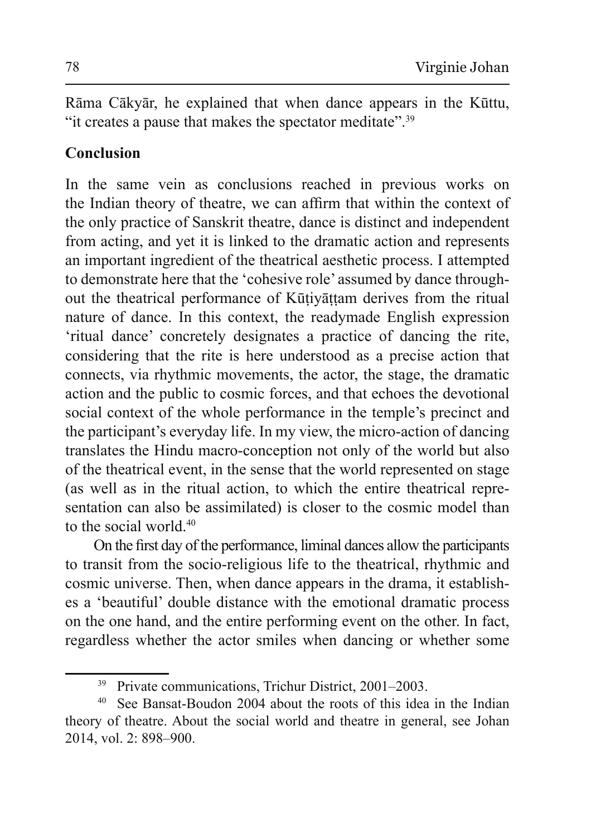Rāma Cākyār, he explained that when dance appears in the Kūttu, "it creates a pause that makes the spectator meditate".<sup>39</sup>

## **Conclusion**

In the same vein as conclusions reached in previous works on the Indian theory of theatre, we can affirm that within the context of the only practice of Sanskrit theatre, dance is distinct and independent from acting, and yet it is linked to the dramatic action and represents an important ingredient of the theatrical aesthetic process. I attempted to demonstrate here that the 'cohesive role' assumed by dance throughout the theatrical performance of Kūtivāttam derives from the ritual nature of dance. In this context, the readymade English expression 'ritual dance' concretely designates a practice of dancing the rite, considering that the rite is here understood as a precise action that connects, via rhythmic movements, the actor, the stage, the dramatic action and the public to cosmic forces, and that echoes the devotional social context of the whole performance in the temple's precinct and the participant's everyday life. In my view, the micro-action of dancing translates the Hindu macro-conception not only of the world but also of the theatrical event, in the sense that the world represented on stage (as well as in the ritual action, to which the entire theatrical representation can also be assimilated) is closer to the cosmic model than to the social world.<sup>40</sup>

On the first day of the performance, liminal dances allow the participants to transit from the socio-religious life to the theatrical, rhythmic and cosmic universe. Then, when dance appears in the drama, it establishes a 'beautiful' double distance with the emotional dramatic process on the one hand, and the entire performing event on the other. In fact, regardless whether the actor smiles when dancing or whether some

<sup>&</sup>lt;sup>39</sup> Private communications, Trichur District, 2001–2003.

<sup>&</sup>lt;sup>40</sup> See Bansat-Boudon 2004 about the roots of this idea in the Indian theory of theatre. About the social world and theatre in general, see Johan 2014, vol. 2: 898-900.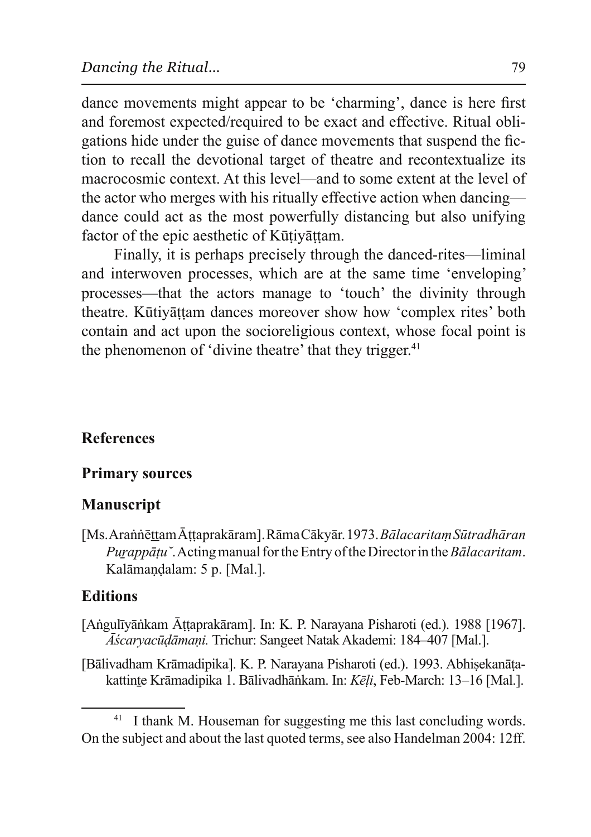dance movements might appear to be 'charming', dance is here first and foremost expected/required to be exact and effective. Ritual obligations hide under the guise of dance movements that suspend the fiction to recall the devotional target of theatre and recontextualize its macrocosmic context. At this level—and to some extent at the level of the actor who merges with his ritually effective action when dancing dance could act as the most powerfully distancing but also unifying factor of the epic aesthetic of Kūtivāttam.

Finally, it is perhaps precisely through the danced-rites—liminal and interwoven processes, which are at the same time 'enveloping' processes—that the actors manage to 'touch' the divinity through theatre. Kūtivāttam dances moreover show how 'complex rites' both contain and act upon the socior eligious context, whose focal point is the phenomenon of 'divine theatre' that they trigger.<sup>41</sup>

## **References**

#### **Primary sources**

## **Manuscript**

[Ms. Arannettam Attaprakāram]. Rāma Cākyār. 1973. Bālacaritam Sūtradhāran *Purappātu*". Acting manual for the Entry of the Director in the *Bālacaritam*. Kalāmaņdalam: 5 p. [Mal.].

## **Editions**

- [Angulīyānkam Āttaprakāram]. In: K. P. Narayana Pisharoti (ed.). 1988 [1967]. *Āścarvacūdāmani*. Trichur: Sangeet Natak Akademi: 184–407 [Mal.].
- [Bālivadham Krāmadipika]. K. P. Narayana Pisharoti (ed.). 1993. Abhisekanātakattinte Krāmadipika 1. Bālivadhānkam. In: Kēļi, Feb-March: 13-16 [Mal.].

<sup>41</sup> I thank M. Houseman for suggesting me this last concluding words. On the subject and about the last quoted terms, see also Handelman 2004: 12ff.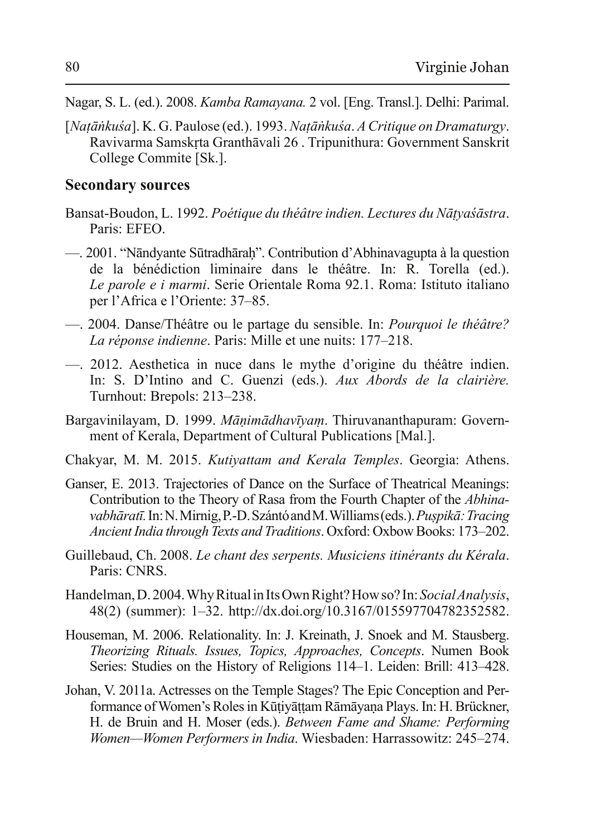- Nagar, S. L. (ed.). 2008. *Kamba Ramayana.* 2 vol. [Eng. Transl.]. Delhi: Parimal.
- $[Natānkuša]$ . K. G. Paulose (ed.). 1993. *Natānkuša. A Critique on Dramaturgy*. Ravivarma Samskrta Granthāvali 26 . Tripunithura: Government Sanskrit College Commite [Sk.].

#### **Secondary sources**

- Bansat-Boudon, L. 1992. *Poétique du théâtre indien. Lectures du Nātyasastra*. Paris: EFEO.
- 2001. "Nāndyante Sūtradhāraḥ". Contribution d'Abhinavagupta à la question de la bénédiction liminaire dans le théâtre. In: R. Torella (ed.). *Le parole e i marmi*. Serie Orientale Roma 92.1. Roma: Istituto italiano per l'Africa e l'Oriente: 37–85.
- 2004. Danse/Théâtre ou le partage du sensible. In: *Pourquoi le théâtre? La réponse indienne.* Paris: Mille et une nuits: 177–218.
- 2012. Aesthetica in nuce dans le mythe d'origine du théâtre indien. In: S. D'Intino and C. Guenzi (eds.). *Aux Abords de la clairière*. Turnhout: Brepols: 213–238.
- Bargavinilayam, D. 1999. Mānimādhavīvam. Thiruvananthapuram: Government of Kerala, Department of Cultural Publications [Mal.].
- Chakyar, M. M. 2015. *Kutiyattam and Kerala Temples*. Georgia: Athens.
- Ganser, E. 2013. Trajectories of Dance on the Surface of Theatrical Meanings: Contribution to the Theory of Rasa from the Fourth Chapter of the *Abhinayabhāratī*. In: N. Mirnig, P.-D. Szántó and M. Williams (eds.). Puspikā: Tracing *Ancient India through Texts and Traditions.* Oxford: Oxbow Books: 173–202.
- Guillebaud, Ch. 2008. Le chant des serpents. Musiciens itinérants du Kérala. Paris: CNRS.
- Handelman, D. 2004. Why Ritual in Its Own Right? How so? In: Social Analysis, 48(2) (summer): 1-32. http://dx.doi.org/10.3167/015597704782352582.
- Houseman, M. 2006. Relationality. In: J. Kreinath, J. Snoek and M. Stausberg. *Theorizing Rituals. Issues, Topics, Approaches, Concepts. Numen Book* Series: Studies on the History of Religions 114–1. Leiden: Brill: 413–428.
- Johan, V. 2011a. Actresses on the Temple Stages? The Epic Conception and Performance of Women's Roles in Kūtiyāttam Rāmāyana Plays. In: H. Brückner, H. de Bruin and H. Moser (eds.). *Between Fame and Shame: Performing Women—Women Performers in India.* Wiesbaden: Harrassowitz: 245–274.